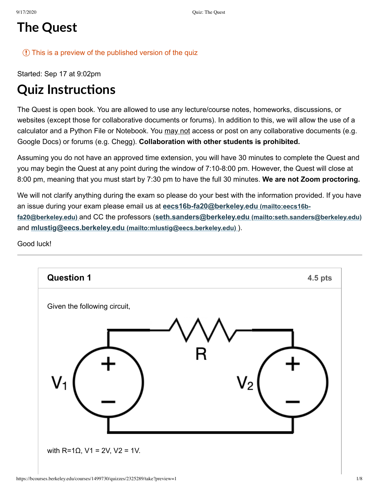## **The Quest**

#### $\circ$  This is a preview of the published version of the quiz

Started: Sep 17 at 9:02pm

## **Quiz Instructions**

The Quest is open book. You are allowed to use any lecture/course notes, homeworks, discussions, or websites (except those for collaborative documents or forums). In addition to this, we will allow the use of a calculator and a Python File or Notebook. You may not access or post on any collaborative documents (e.g. Google Docs) or forums (e.g. Chegg). **Collaboration with other students is prohibited.** 

Assuming you do not have an approved time extension, you will have 30 minutes to complete the Quest and you may begin the Quest at any point during the window of 7:10-8:00 pm. However, the Quest will close at 8:00 pm, meaning that you must start by 7:30 pm to have the full 30 minutes. We are not Zoom proctoring.

We will not clarify anything during the exam so please do your best with the information provided. If you have an issue during your exam please email us at eecs16b-fa20@berkeley.edu (mailto:eecs16bfa20@berkeley.edu) and CC the professors (seth.sanders@berkeley.edu (mailto:seth.sanders@berkeley.edu) and mlustig@eecs.berkeley.edu (mailto:mlustig@eecs.berkeley.edu) ).

Good luck!

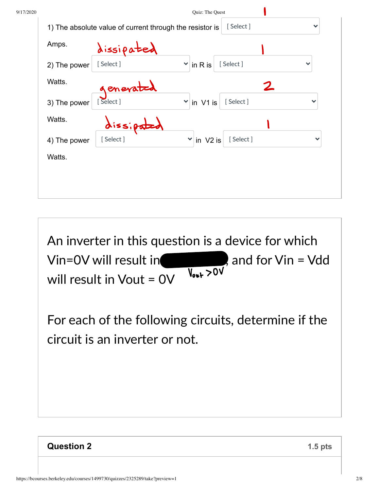| Amps.        | dissipated |                                       |              |
|--------------|------------|---------------------------------------|--------------|
| 2) The power | [Select]   | [Select]<br>$in R$ is<br>$\checkmark$ | $\checkmark$ |
| Watts.       | generated  |                                       | 2            |
| 3) The power | [Select]   | [Select]<br>$\mathbf{v}$ in V1 is     | $\checkmark$ |
| Watts.       | dissipated |                                       |              |
| 4) The power | [Select]   | [Select]<br>$\checkmark$<br>in V2 is  | $\checkmark$ |
| Watts.       |            |                                       |              |

An inverter in this question is a device for which Vin=0V will result in , and for  $V$ in =  $V$ dd  $\overline{V_{\text{out}} > 0}$ will result in Vout = 0V

For each of the following circuits, determine if the circuit is an inverter or not.

### **Question 2**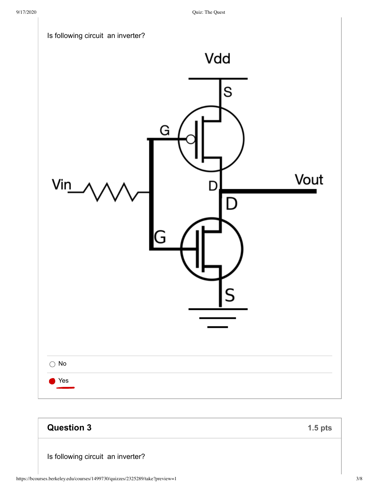

# **Question 3**

Is following circuit an inverter?

 $1.5$  pts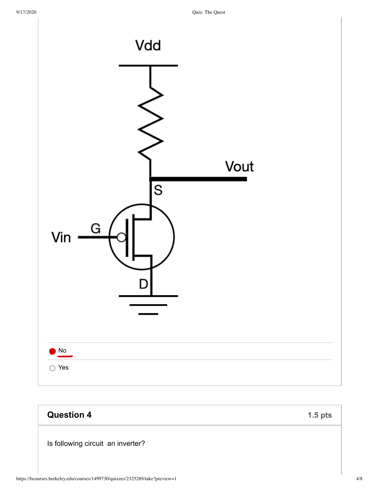

| <b>Question 4</b>                 | $1.5$ pts |
|-----------------------------------|-----------|
| Is following circuit an inverter? |           |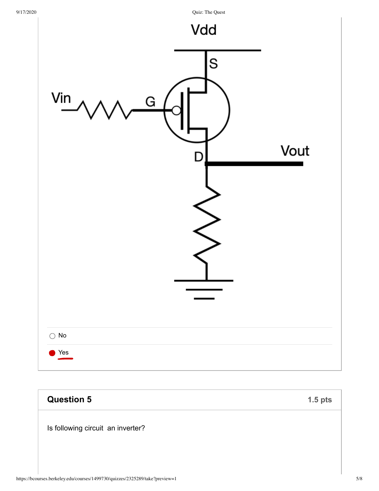Quiz: The Quest



| <b>Question 5</b>                 | $1.5$ pts |
|-----------------------------------|-----------|
| Is following circuit an inverter? |           |
|                                   |           |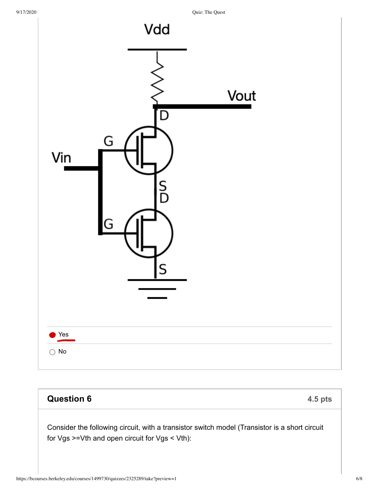Quiz: The Quest



## **Question 6** 4.5 pts Consider the following circuit, with a transistor switch model (Transistor is a short circuit for Vgs >=Vth and open circuit for Vgs < Vth):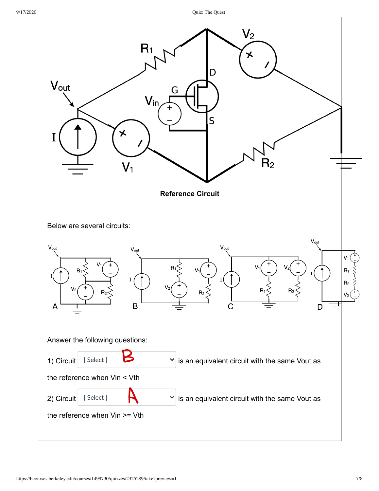